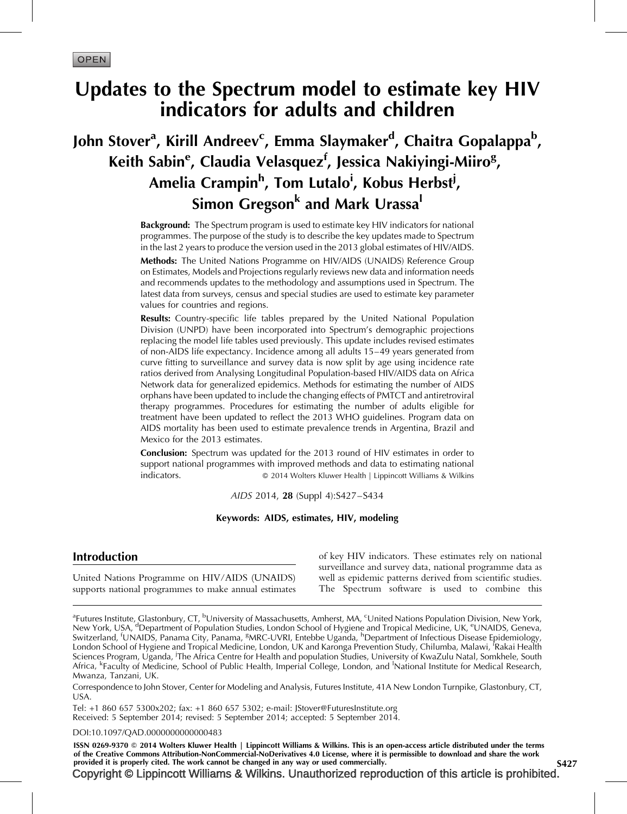# Updates to the Spectrum model to estimate key HIV indicators for adults and children

# John Stover<sup>a</sup>, Kirill Andreev<sup>c</sup>, Emma Slaymaker<sup>d</sup>, Chaitra Gopalappa<sup>b</sup>, Keith Sabin<sup>e</sup>, Claudia Velasquez<sup>f</sup>, Jessica Nakiyingi-Miiro<sup>g</sup>, Amelia Crampin<sup>h</sup>, Tom Lutalo<sup>i</sup>, Kobus Herbst<sup>j</sup>, Simon Gregson<sup>k</sup> and Mark Urassa<sup>l</sup>

**Background:** The Spectrum program is used to estimate key HIV indicators for national programmes. The purpose of the study is to describe the key updates made to Spectrum in the last 2 years to produce the version used in the 2013 global estimates of HIV/AIDS.

Methods: The United Nations Programme on HIV/AIDS (UNAIDS) Reference Group on Estimates, Models and Projections regularly reviews new data and information needs and recommends updates to the methodology and assumptions used in Spectrum. The latest data from surveys, census and special studies are used to estimate key parameter values for countries and regions.

Results: Country-specific life tables prepared by the United National Population Division (UNPD) have been incorporated into Spectrum's demographic projections replacing the model life tables used previously. This update includes revised estimates of non-AIDS life expectancy. Incidence among all adults 15–49 years generated from curve fitting to surveillance and survey data is now split by age using incidence rate ratios derived from Analysing Longitudinal Population-based HIV/AIDS data on Africa Network data for generalized epidemics. Methods for estimating the number of AIDS orphans have been updated to include the changing effects of PMTCT and antiretroviral therapy programmes. Procedures for estimating the number of adults eligible for treatment have been updated to reflect the 2013 WHO guidelines. Program data on AIDS mortality has been used to estimate prevalence trends in Argentina, Brazil and Mexico for the 2013 estimates.

**Conclusion:** Spectrum was updated for the 2013 round of HIV estimates in order to support national programmes with improved methods and data to estimating national indicators. **2014 Wolters Kluwer Health | Lippincott Williams & Wilkins** 

AIDS 2014, 28 (Suppl 4):S427–S434

#### Keywords: AIDS, estimates, HIV, modeling

# Introduction

United Nations Programme on HIV/AIDS (UNAIDS) supports national programmes to make annual estimates

of key HIV indicators. These estimates rely on national surveillance and survey data, national programme data as well as epidemic patterns derived from scientific studies. The Spectrum software is used to combine this

<sup>a</sup>Futures Institute, Glastonbury, CT, <sup>b</sup>University of Massachusetts, Amherst, MA, <sup>c</sup>United Nations Population Division, New York, New York, USA, <sup>d</sup>Department of Population Studies, London School of Hygiene and Tropical Medicine, UK, <sup>e</sup>UNAIDS, Geneva, Switzerland, <sup>f</sup>UNAIDS, Panama City, Panama, <sup>g</sup>MRC-UVRI, Entebbe Uganda, <sup>h</sup>Department of Infectious Disease Epidemiology, London School of Hygiene and Tropical Medicine, London, UK and Karonga Prevention Study, Chilumba, Malawi, <sup>I</sup>Rakai Health Sciences Program, Úganda, <sup>j</sup>The Africa Centre for Health and population Studies, University of KwaZulu Natal, Somkhele, South Africa, <sup>k</sup>Faculty of Medicine, School of Public Health, Imperial College, London, and <sup>I</sup>National Institute for Medical Research, Mwanza, Tanzani, UK.

Correspondence to John Stover, Center for Modeling and Analysis, Futures Institute, 41A New London Turnpike, Glastonbury, CT, USA.

Tel: +1 860 657 5300x202; fax: +1 860 657 5302; e-mail: [JStover@FuturesInstitute.org](mailto:JStover@FuturesInstitute.org) Received: 5 September 2014; revised: 5 September 2014; accepted: 5 September 2014.

#### DOI[:10.1097/QAD.0000000000000483](http://dx.doi.org/10.1097/QAD.0000000000000483)

ISSN 0269-9370 Q 2014 Wolters Kluwer Health | Lippincott Williams & Wilkins. This is an open-access article distributed under the terms of the Creative Commons Attribution-NonCommercial-NoDerivatives 4.0 License, where it is permissible to download and share the work provided it is properly cited. The work cannot be changed in any way or used commercially.  $S427$ 

Copyright © Lippincott Williams & Wilkins. Unauthorized reproduction of this article is prohibited.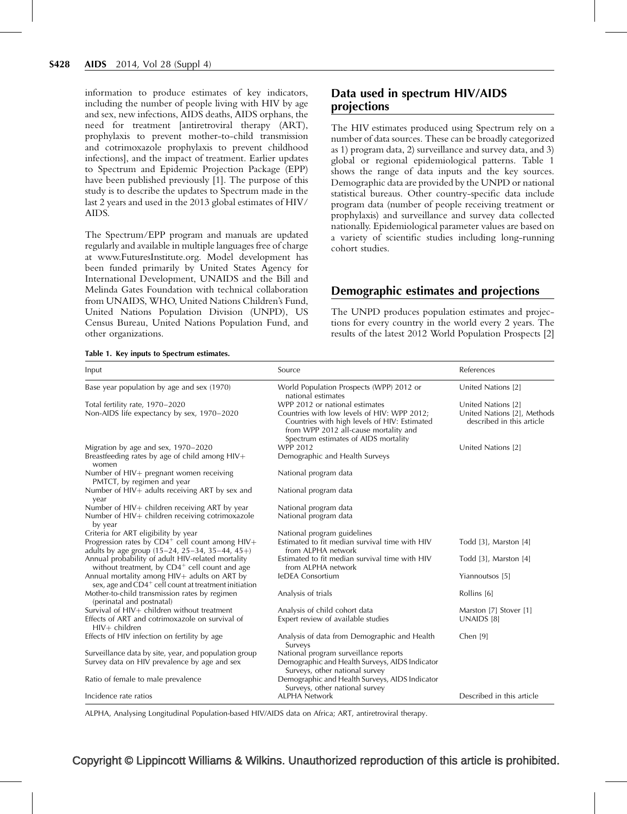information to produce estimates of key indicators, including the number of people living with HIV by age and sex, new infections, AIDS deaths, AIDS orphans, the need for treatment [antiretroviral therapy (ART), prophylaxis to prevent mother-to-child transmission and cotrimoxazole prophylaxis to prevent childhood infections], and the impact of treatment. Earlier updates to Spectrum and Epidemic Projection Package (EPP) have been published previously [\[1\]](#page-7-0). The purpose of this study is to describe the updates to Spectrum made in the last 2 years and used in the 2013 global estimates of HIV/ AIDS.

The Spectrum/EPP program and manuals are updated regularly and available in multiple languages free of charge at [www.FuturesInstitute.org.](http://www.futuresinstitute.org/) Model development has been funded primarily by United States Agency for International Development, UNAIDS and the Bill and Melinda Gates Foundation with technical collaboration from UNAIDS, WHO, United Nations Children's Fund, United Nations Population Division (UNPD), US Census Bureau, United Nations Population Fund, and other organizations.

| Table 1. Key inputs to Spectrum estimates. |  |  |  |  |
|--------------------------------------------|--|--|--|--|
|--------------------------------------------|--|--|--|--|

# Data used in spectrum HIV/AIDS projections

The HIV estimates produced using Spectrum rely on a number of data sources. These can be broadly categorized as 1) program data, 2) surveillance and survey data, and 3) global or regional epidemiological patterns. Table 1 shows the range of data inputs and the key sources. Demographic data are provided by the UNPD or national statistical bureaus. Other country-specific data include program data (number of people receiving treatment or prophylaxis) and surveillance and survey data collected nationally. Epidemiological parameter values are based on a variety of scientific studies including long-running cohort studies.

# Demographic estimates and projections

The UNPD produces population estimates and projections for every country in the world every 2 years. The results of the latest 2012 World Population Prospects [\[2\]](#page-7-0)

| Input                                                                                                            | Source                                                                                                                                                                                       | References                                                                     |
|------------------------------------------------------------------------------------------------------------------|----------------------------------------------------------------------------------------------------------------------------------------------------------------------------------------------|--------------------------------------------------------------------------------|
| Base year population by age and sex (1970)                                                                       | World Population Prospects (WPP) 2012 or                                                                                                                                                     | United Nations [2]                                                             |
| Total fertility rate, 1970-2020<br>Non-AIDS life expectancy by sex, 1970–2020                                    | national estimates<br>WPP 2012 or national estimates<br>Countries with low levels of HIV: WPP 2012;<br>Countries with high levels of HIV: Estimated<br>from WPP 2012 all-cause mortality and | United Nations [2]<br>United Nations [2], Methods<br>described in this article |
| Migration by age and sex, 1970–2020                                                                              | Spectrum estimates of AIDS mortality<br><b>WPP 2012</b>                                                                                                                                      | United Nations [2]                                                             |
| Breastfeeding rates by age of child among $HIV+$<br>women                                                        | Demographic and Health Surveys                                                                                                                                                               |                                                                                |
| Number of HIV+ pregnant women receiving<br>PMTCT, by regimen and year                                            | National program data                                                                                                                                                                        |                                                                                |
| Number of HIV+ adults receiving ART by sex and<br>year                                                           | National program data                                                                                                                                                                        |                                                                                |
| Number of HIV+ children receiving ART by year<br>Number of HIV+ children receiving cotrimoxazole<br>by year      | National program data<br>National program data                                                                                                                                               |                                                                                |
| Criteria for ART eligibility by year                                                                             | National program guidelines                                                                                                                                                                  |                                                                                |
| Progression rates by $CD4^+$ cell count among $HIV+$<br>adults by age group (15-24, 25-34, 35-44, 45+)           | Estimated to fit median survival time with HIV<br>from ALPHA network                                                                                                                         | Todd [3], Marston [4]                                                          |
| Annual probability of adult HIV-related mortality<br>without treatment, by $CD4^+$ cell count and age            | Estimated to fit median survival time with HIV<br>from ALPHA network                                                                                                                         | Todd [3], Marston [4]                                                          |
| Annual mortality among HIV+ adults on ART by<br>sex, age and CD4 <sup>+</sup> cell count at treatment initiation | <b>IeDEA</b> Consortium                                                                                                                                                                      | Yiannoutsos [5]                                                                |
| Mother-to-child transmission rates by regimen<br>(perinatal and postnatal)                                       | Analysis of trials                                                                                                                                                                           | Rollins [6]                                                                    |
| Survival of HIV+ children without treatment                                                                      | Analysis of child cohort data                                                                                                                                                                | Marston [7] Stover [1]                                                         |
| Effects of ART and cotrimoxazole on survival of<br>$HIV+$ children                                               | Expert review of available studies                                                                                                                                                           | UNAIDS [8]                                                                     |
| Effects of HIV infection on fertility by age                                                                     | Analysis of data from Demographic and Health<br>Surveys                                                                                                                                      | Chen $[9]$                                                                     |
| Surveillance data by site, year, and population group<br>Survey data on HIV prevalence by age and sex            | National program surveillance reports<br>Demographic and Health Surveys, AIDS Indicator<br>Surveys, other national survey                                                                    |                                                                                |
| Ratio of female to male prevalence                                                                               | Demographic and Health Surveys, AIDS Indicator<br>Surveys, other national survey                                                                                                             |                                                                                |
| Incidence rate ratios                                                                                            | <b>ALPHA Network</b>                                                                                                                                                                         | Described in this article                                                      |

ALPHA, Analysing Longitudinal Population-based HIV/AIDS data on Africa; ART, antiretroviral therapy.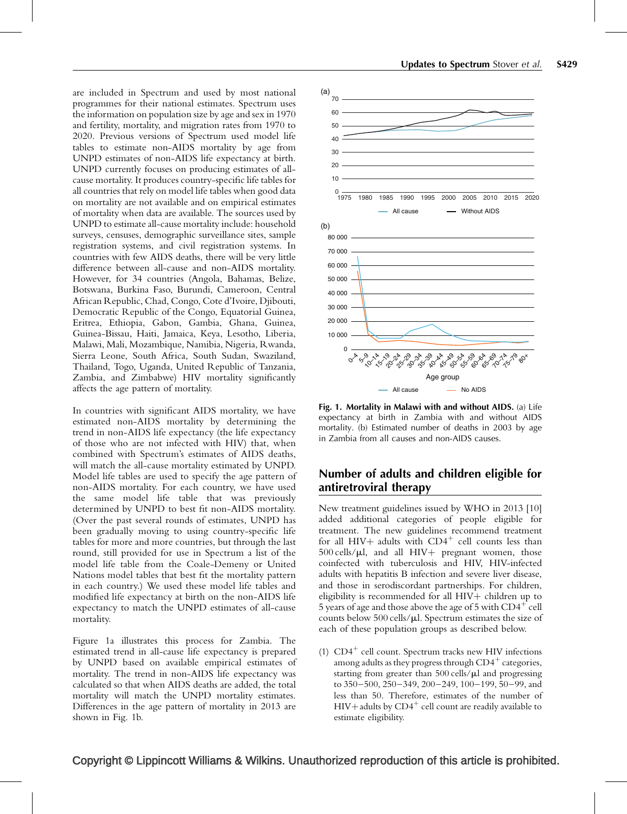are included in Spectrum and used by most national programmes for their national estimates. Spectrum uses the information on population size by age and sex in 1970 and fertility, mortality, and migration rates from 1970 to 2020. Previous versions of Spectrum used model life tables to estimate non-AIDS mortality by age from UNPD estimates of non-AIDS life expectancy at birth. UNPD currently focuses on producing estimates of allcause mortality. It produces country-specific life tables for all countries that rely on model life tables when good data on mortality are not available and on empirical estimates of mortality when data are available. The sources used by UNPD to estimate all-cause mortality include: household surveys, censuses, demographic surveillance sites, sample registration systems, and civil registration systems. In countries with few AIDS deaths, there will be very little difference between all-cause and non-AIDS mortality. However, for 34 countries (Angola, Bahamas, Belize, Botswana, Burkina Faso, Burundi, Cameroon, Central African Republic, Chad, Congo, Cote d'Ivoire, Djibouti, Democratic Republic of the Congo, Equatorial Guinea, Eritrea, Ethiopia, Gabon, Gambia, Ghana, Guinea, Guinea-Bissau, Haiti, Jamaica, Keya, Lesotho, Liberia, Malawi, Mali, Mozambique, Namibia, Nigeria, Rwanda, Sierra Leone, South Africa, South Sudan, Swaziland, Thailand, Togo, Uganda, United Republic of Tanzania, Zambia, and Zimbabwe) HIV mortality significantly

In countries with significant AIDS mortality, we have estimated non-AIDS mortality by determining the trend in non-AIDS life expectancy (the life expectancy of those who are not infected with HIV) that, when combined with Spectrum's estimates of AIDS deaths, will match the all-cause mortality estimated by UNPD. Model life tables are used to specify the age pattern of non-AIDS mortality. For each country, we have used the same model life table that was previously determined by UNPD to best fit non-AIDS mortality. (Over the past several rounds of estimates, UNPD has been gradually moving to using country-specific life tables for more and more countries, but through the last round, still provided for use in Spectrum a list of the model life table from the Coale-Demeny or United Nations model tables that best fit the mortality pattern in each country.) We used these model life tables and modified life expectancy at birth on the non-AIDS life expectancy to match the UNPD estimates of all-cause mortality.

affects the age pattern of mortality.

Figure 1a illustrates this process for Zambia. The estimated trend in all-cause life expectancy is prepared by UNPD based on available empirical estimates of mortality. The trend in non-AIDS life expectancy was calculated so that when AIDS deaths are added, the total mortality will match the UNPD mortality estimates. Differences in the age pattern of mortality in 2013 are shown in Fig. 1b.



Fig. 1. Mortality in Malawi with and without AIDS. (a) Life expectancy at birth in Zambia with and without AIDS mortality. (b) Estimated number of deaths in 2003 by age in Zambia from all causes and non-AIDS causes.

# Number of adults and children eligible for antiretroviral therapy

New treatment guidelines issued by WHO in 2013 [\[10\]](#page-7-0) added additional categories of people eligible for treatment. The new guidelines recommend treatment for all HIV+ adults with  $CD4^+$  cell counts less than  $500$  cells/ $\mu$ l, and all HIV + pregnant women, those coinfected with tuberculosis and HIV, HIV-infected adults with hepatitis B infection and severe liver disease, and those in serodiscordant partnerships. For children, eligibility is recommended for all  $HIV$  children up to 5 years of age and those above the age of 5 with  $CD4^+$  cell counts below  $500$  cells/ $\mu$ l. Spectrum estimates the size of each of these population groups as described below.

(1)  $CD4^+$  cell count. Spectrum tracks new HIV infections among adults as they progress through  $CD4^+$  categories, starting from greater than  $500$  cells/ $\mu$ l and progressing to 350–500, 250–349, 200–249, 100–199, 50–99, and less than 50. Therefore, estimates of the number of  $HIV +$ adults by  $CD4^+$  cell count are readily available to estimate eligibility.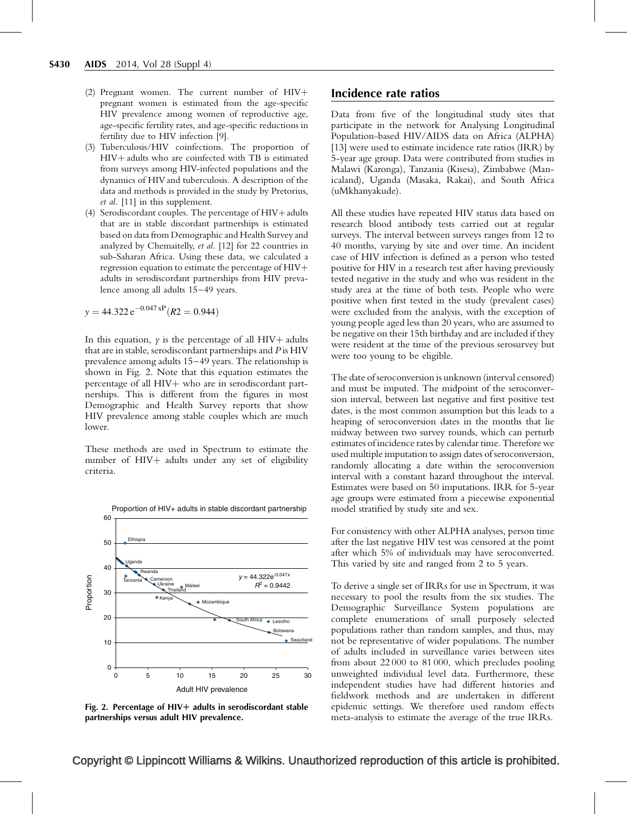- (2) Pregnant women. The current number of  $HIV+$ pregnant women is estimated from the age-specific HIV prevalence among women of reproductive age, age-specific fertility rates, and age-specific reductions in fertility due to HIV infection [\[9\].](#page-7-0)
- (3) Tuberculosis/HIV coinfections. The proportion of  $HIV +$  adults who are coinfected with TB is estimated from surveys among HIV-infected populations and the dynamics of HIV and tuberculosis. A description of the data and methods is provided in the study by Pretorius, et al. [\[11\]](#page-7-0) in this supplement.
- (4) Serodiscordant couples. The percentage of  $HIV +$ adults that are in stable discordant partnerships is estimated based on data from Demographic and Health Survey and analyzed by Chemaitelly, et al. [\[12\]](#page-7-0) for 22 countries in sub-Saharan Africa. Using these data, we calculated a regression equation to estimate the percentage of  $HIV+$ adults in serodiscordant partnerships from HIV prevalence among all adults 15–49 years.

$$
y = 44.322 \,\mathrm{e}^{-0.047 \,\mathrm{xP}} (R2 = 0.944)
$$

In this equation,  $\nu$  is the percentage of all  $HIV+$  adults that are in stable, serodiscordant partnerships and  $P$  is  $HIV$ prevalence among adults 15–49 years. The relationship is shown in Fig. 2. Note that this equation estimates the percentage of all  $HIV+$  who are in serodiscordant partnerships. This is different from the figures in most Demographic and Health Survey reports that show HIV prevalence among stable couples which are much lower.

These methods are used in Spectrum to estimate the number of HIV+ adults under any set of eligibility criteria.



Fig. 2. Percentage of HIV<sup>+</sup> adults in serodiscordant stable partnerships versus adult HIV prevalence.

### Incidence rate ratios

Data from five of the longitudinal study sites that participate in the network for Analysing Longitudinal Population-based HIV/AIDS data on Africa (ALPHA) [\[13\]](#page-7-0) were used to estimate incidence rate ratios (IRR) by 5-year age group. Data were contributed from studies in Malawi (Karonga), Tanzania (Kisesa), Zimbabwe (Manicaland), Uganda (Masaka, Rakai), and South Africa (uMkhanyakude).

All these studies have repeated HIV status data based on research blood antibody tests carried out at regular surveys. The interval between surveys ranges from 12 to 40 months, varying by site and over time. An incident case of HIV infection is defined as a person who tested positive for HIV in a research test after having previously tested negative in the study and who was resident in the study area at the time of both tests. People who were positive when first tested in the study (prevalent cases) were excluded from the analysis, with the exception of young people aged less than 20 years, who are assumed to be negative on their 15th birthday and are included if they were resident at the time of the previous serosurvey but were too young to be eligible.

The date of seroconversion is unknown (interval censored) and must be imputed. The midpoint of the seroconversion interval, between last negative and first positive test dates, is the most common assumption but this leads to a heaping of seroconversion dates in the months that lie midway between two survey rounds, which can perturb estimates of incidence rates by calendar time. Therefore we used multiple imputation to assign dates of seroconversion, randomly allocating a date within the seroconversion interval with a constant hazard throughout the interval. Estimates were based on 50 imputations. IRR for 5-year age groups were estimated from a piecewise exponential model stratified by study site and sex.

For consistency with other ALPHA analyses, person time after the last negative HIV test was censored at the point after which 5% of individuals may have seroconverted. This varied by site and ranged from 2 to 5 years.

To derive a single set of IRRs for use in Spectrum, it was necessary to pool the results from the six studies. The Demographic Surveillance System populations are complete enumerations of small purposely selected populations rather than random samples, and thus, may not be representative of wider populations. The number of adults included in surveillance varies between sites from about 22 000 to 81 000, which precludes pooling unweighted individual level data. Furthermore, these independent studies have had different histories and fieldwork methods and are undertaken in different epidemic settings. We therefore used random effects meta-analysis to estimate the average of the true IRRs.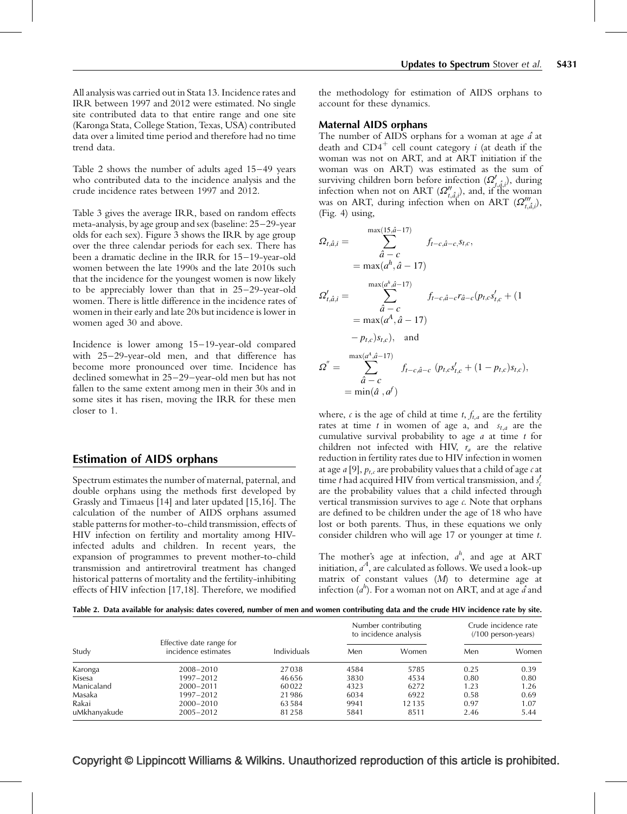All analysis was carried out in Stata 13. Incidence rates and IRR between 1997 and 2012 were estimated. No single site contributed data to that entire range and one site (Karonga Stata, College Station, Texas, USA) contributed data over a limited time period and therefore had no time trend data.

Table 2 shows the number of adults aged 15–49 years who contributed data to the incidence analysis and the crude incidence rates between 1997 and 2012.

[Table 3](#page-5-0) gives the average IRR, based on random effects meta-analysis, by age group and sex (baseline: 25–29-year olds for each sex). [Figure 3](#page-5-0) shows the IRR by age group over the three calendar periods for each sex. There has been a dramatic decline in the IRR for 15–19-year-old women between the late 1990s and the late 2010s such that the incidence for the youngest women is now likely to be appreciably lower than that in 25–29-year-old women. There is little difference in the incidence rates of women in their early and late 20s but incidence is lower in women aged 30 and above.

Incidence is lower among 15–19-year-old compared with 25–29-year-old men, and that difference has become more pronounced over time. Incidence has declined somewhat in 25–29–year-old men but has not fallen to the same extent among men in their 30s and in some sites it has risen, moving the IRR for these men closer to 1.

## Estimation of AIDS orphans

Spectrum estimates the number of maternal, paternal, and double orphans using the methods first developed by Grassly and Timaeus [\[14\]](#page-7-0) and later updated [\[15,16\]](#page-7-0). The calculation of the number of AIDS orphans assumed stable patterns for mother-to-child transmission, effects of HIV infection on fertility and mortality among HIVinfected adults and children. In recent years, the expansion of programmes to prevent mother-to-child transmission and antiretroviral treatment has changed historical patterns of mortality and the fertility-inhibiting effects of HIV infection [\[17,18\]](#page-7-0). Therefore, we modified

the methodology for estimation of AIDS orphans to account for these dynamics.

#### Maternal AIDS orphans

 $= min(\hat{a}, a^f)$ 

The number of AIDS orphans for a woman at age  $\hat{a}$  at death and  $CD4^+$  cell count category *i* (at death if the woman was not on ART, and at ART initiation if the woman was on ART) was estimated as the sum of surviving children born before infection  $(\Omega'_{t,\hat{d},i})$ , during infection when not on ART  $(\Omega''_{t,\hat{d},i})$ , and, if the woman was on ART, during infection when on ART  $(\Omega''_{t, \hat{d}, i}),$ ([Fig. 4](#page-5-0)) using,

$$
\Omega_{t,\hat{a},i} = \sum_{\hat{a}-c}^{\max(15,\hat{a}-17)} f_{t-c,\hat{a}-c,St,c},
$$
  
\n
$$
= \max(a^h, \hat{a}-17)
$$
  
\n
$$
\Omega'_{t,\hat{a},i} = \sum_{\hat{a}-c}^{\max(a^h, \hat{a}-17)} f_{t-c,\hat{a}-c} r_{\hat{a}-c} (p_{t,c} s'_{t,c} + (1
$$
  
\n
$$
= \max(a^A, \hat{a}-17)
$$
  
\n
$$
- p_{t,c} s_{t,c}), \text{ and}
$$
  
\n
$$
\Omega'' = \sum_{\hat{a}-c}^{\max(a^A, \hat{a}-17)} f_{t-c,\hat{a}-c} (p_{t,c} s'_{t,c} + (1 - p_{t,c}) s_{t,c}),
$$

where,  $c$  is the age of child at time  $t, f_{t,a}$  are the fertility rates at time t in women of age a, and  $s_{t,a}$  are the cumulative survival probability to age  $a$  at time  $t$  for children not infected with HIV,  $r_a$  are the relative reduction in fertility rates due to HIV infection in women at age *a* [\[9\],](#page-7-0)  $p_{t,c}$  are probability values that a child of age *c* at time t had acquired HIV from vertical transmission, and  $s_c$ are the probability values that a child infected through vertical transmission survives to age  $c$ . Note that orphans are defined to be children under the age of 18 who have lost or both parents. Thus, in these equations we only consider children who will age 17 or younger at time t.

The mother's age at infection,  $a^h$ , and age at ART initiation,  $a^A$ , are calculated as follows. We used a look-up matrix of constant values (M) to determine age at infection  $(a^h)$ . For a woman not on ART, and at age  $\hat{a}$  and

Table 2. Data available for analysis: dates covered, number of men and women contributing data and the crude HIV incidence rate by site.

|              |                                                 | Individuals | Number contributing<br>to incidence analysis |         | Crude incidence rate<br>$(7100$ person-years) |       |
|--------------|-------------------------------------------------|-------------|----------------------------------------------|---------|-----------------------------------------------|-------|
| Study        | Effective date range for<br>incidence estimates |             | Men                                          | Women   | Men                                           | Women |
| Karonga      | 2008-2010                                       | 27038       | 4584                                         | 5785    | 0.25                                          | 0.39  |
| Kisesa       | 1997-2012                                       | 46656       | 3830                                         | 4534    | 0.80                                          | 0.80  |
| Manicaland   | $2000 - 2011$                                   | 60022       | 4323                                         | 6272    | 1.23                                          | 1.26  |
| Masaka       | 1997-2012                                       | 21986       | 6034                                         | 6922    | 0.58                                          | 0.69  |
| Rakai        | 2000-2010                                       | 63 5 8 4    | 9941                                         | 12 13 5 | 0.97                                          | 1.07  |
| uMkhanyakude | 2005-2012                                       | 81258       | 5841                                         | 8511    | 2.46                                          | 5.44  |

## Copyright © Lippincott Williams & Wilkins. Unauthorized reproduction of this article is prohibited.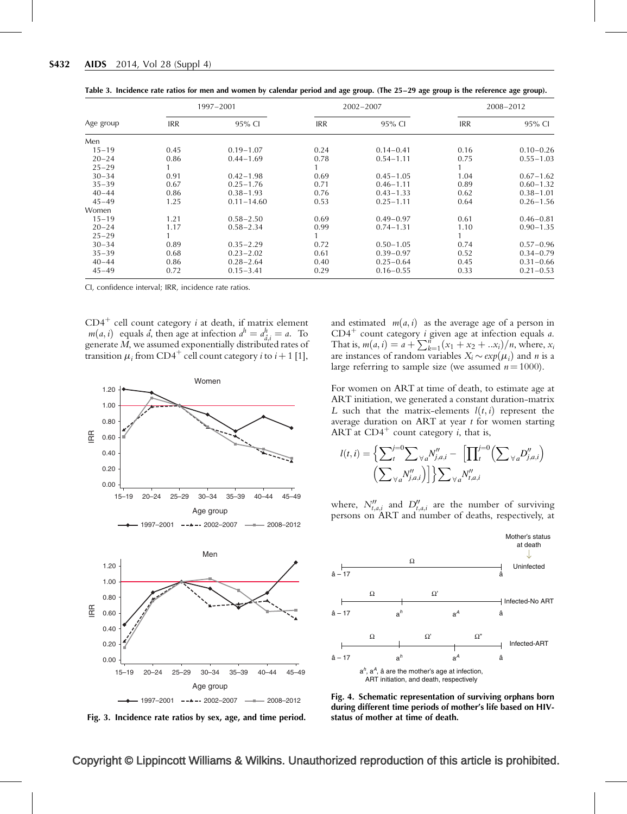| Age group | 1997-2001  |                | $2002 - 2007$ |               | 2008-2012  |               |
|-----------|------------|----------------|---------------|---------------|------------|---------------|
|           | <b>IRR</b> | 95% CI         | <b>IRR</b>    | 95% CI        | <b>IRR</b> | 95% CI        |
| Men       |            |                |               |               |            |               |
| $15 - 19$ | 0.45       | $0.19 - 1.07$  | 0.24          | $0.14 - 0.41$ | 0.16       | $0.10 - 0.26$ |
| $20 - 24$ | 0.86       | $0.44 - 1.69$  | 0.78          | $0.54 - 1.11$ | 0.75       | $0.55 - 1.03$ |
| $25 - 29$ |            |                |               |               |            |               |
| $30 - 34$ | 0.91       | $0.42 - 1.98$  | 0.69          | $0.45 - 1.05$ | 1.04       | $0.67 - 1.62$ |
| $35 - 39$ | 0.67       | $0.25 - 1.76$  | 0.71          | $0.46 - 1.11$ | 0.89       | $0.60 - 1.32$ |
| $40 - 44$ | 0.86       | $0.38 - 1.93$  | 0.76          | $0.43 - 1.33$ | 0.62       | $0.38 - 1.01$ |
| $45 - 49$ | 1.25       | $0.11 - 14.60$ | 0.53          | $0.25 - 1.11$ | 0.64       | $0.26 - 1.56$ |
| Women     |            |                |               |               |            |               |
| $15 - 19$ | 1.21       | $0.58 - 2.50$  | 0.69          | $0.49 - 0.97$ | 0.61       | $0.46 - 0.81$ |
| $20 - 24$ | 1.17       | $0.58 - 2.34$  | 0.99          | $0.74 - 1.31$ | 1.10       | $0.90 - 1.35$ |
| $25 - 29$ |            |                |               |               |            |               |
| $30 - 34$ | 0.89       | $0.35 - 2.29$  | 0.72          | $0.50 - 1.05$ | 0.74       | $0.57 - 0.96$ |
| $35 - 39$ | 0.68       | $0.23 - 2.02$  | 0.61          | $0.39 - 0.97$ | 0.52       | $0.34 - 0.79$ |
| $40 - 44$ | 0.86       | $0.28 - 2.64$  | 0.40          | $0.25 - 0.64$ | 0.45       | $0.31 - 0.66$ |
| $45 - 49$ | 0.72       | $0.15 - 3.41$  | 0.29          | $0.16 - 0.55$ | 0.33       | $0.21 - 0.53$ |

<span id="page-5-0"></span>Table 3. Incidence rate ratios for men and women by calendar period and age group. (The 25–29 age group is the reference age group).

CI, confidence interval; IRR, incidence rate ratios.

 $CD4^+$  cell count category *i* at death, if matrix element  $m(a, i)$  equals *á*, then age at infection  $a^h = a^h_{a,i} = a$ . To generate M, we assumed exponentially distributed rates of transition  $\mu_i$  from CD4<sup>+</sup> cell count category *i* to *i* + 1 [\[1\]](#page-7-0),





and estimated  $m(a, i)$  as the average age of a person in  $CD4^+$  count category *i* given age at infection equals *a*. That is,  $m(a, i) = a + \sum_{k=1}^{n} (x_1 + x_2 + ... x_i)/n$ , where,  $x_i$ are instances of random variables  $X_i \sim exp(\mu_i)$  and *n* is a large referring to sample size (we assumed  $n = 1000$ ).

For women on ART at time of death, to estimate age at ART initiation, we generated a constant duration-matrix L such that the matrix-elements  $l(t, i)$  represent the average duration on ART at year  $t$  for women starting ART at  $CD4^+$  count category *i*, that is,

$$
l(t,i) = \left\{ \sum_{t}^{j=0} \sum_{\forall a} N_{j,a,i}'' - \left[ \prod_{t}^{j=0} \left( \sum_{\forall a} D_{j,a,i}'' \right) \left( \sum_{\forall a} N_{j,a,i}'' \right) \right] \right\}
$$

where,  $N''_{t,a,i}$  and  $D''_{t,a,i}$  are the number of surviving persons on ART and number of deaths, respectively, at



Fig. 4. Schematic representation of surviving orphans born during different time periods of mother's life based on HIVstatus of mother at time of death.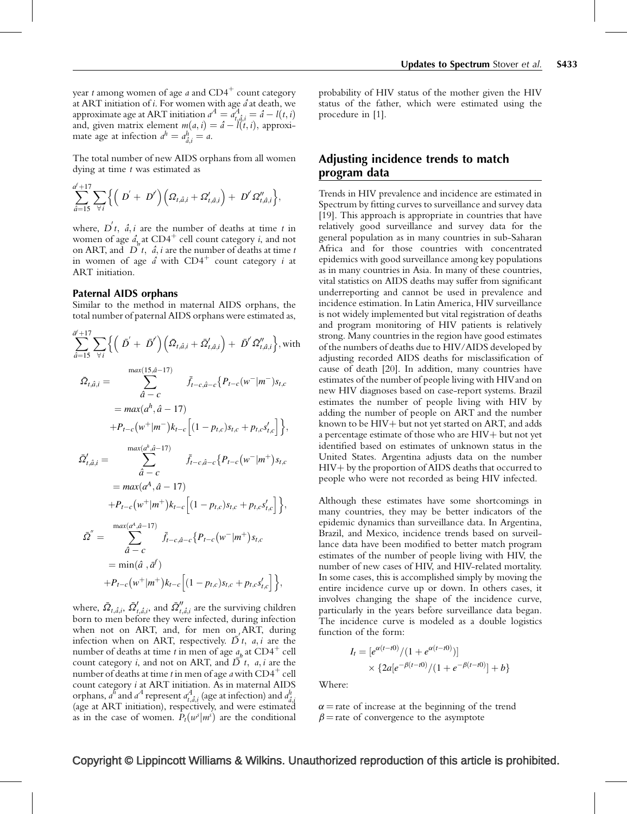The total number of new AIDS orphans from all women dying at time t was estimated as

$$
\sum_{\hat{a}=15}^{d^{'}+17} \sum_{\forall i}\Big\{\Big(\ D^{'}+D^{'}\Big)\Big(\varOmega_{t,\hat{a},i}+\varOmega_{t,\hat{a},i}'\Big)+\ D^{'}\varOmega_{t,\hat{a},i}''\Big\},
$$

where,  $D^{'}t$ ,  $\hat{a}$ , *i* are the number of deaths at time *t* in women of age  $\hat{a}$ , at CD4<sup>+</sup> cell count category *i*, and not on ART, and  $\overline{D}^n t$ ,  $\hat{a}$ , *i* are the number of deaths at time *t* in women of age  $\hat{d}$  with CD4<sup>+</sup> count category  $i$  at ART initiation.

#### Paternal AIDS orphans

Similar to the method in maternal AIDS orphans, the total number of paternal AIDS orphans were estimated as,

$$
\sum_{\hat{a}=15}^{\hat{a}'+17} \sum_{\forall i} \left\{ \left( \vec{D}^{'} + \vec{D}^{'} \right) \left( \bar{\Omega}_{t,\hat{a},i} + \bar{\Omega}_{t,\hat{a},i}' \right) + \vec{D}^{'} \bar{\Omega}_{t,\hat{a},i}'' \right\}, \text{with}
$$
\n
$$
\bar{\Omega}_{t,\hat{a},i} = \sum_{\hat{a}-c}^{\max(15,\hat{a}-17)} \bar{f}_{t-c,\hat{a}-c} \left\{ P_{t-c} (w^-|m^-) s_{t,c} \right\}
$$
\n
$$
= mx(a^h, \hat{a}-17)
$$
\n
$$
+ P_{t-c} (w^+|m^-) k_{t-c} \left[ (1-p_{t,c}) s_{t,c} + p_{t,c} s_{t,c}' \right] \right\},
$$
\n
$$
\bar{\Omega}_{t,\hat{a},i}' = \sum_{\hat{a}-c}^{\max(a^h, \hat{a}-17)} \bar{f}_{t-c,\hat{a}-c} \left\{ P_{t-c} (w^-|m^+) s_{t,c} \right\}
$$
\n
$$
= mx(a^A, \hat{a}-17)
$$
\n
$$
+ P_{t-c} (w^+|m^+) k_{t-c} \left[ (1-p_{t,c}) s_{t,c} + p_{t,c} s_{t,c}' \right] \right\},
$$
\n
$$
\bar{\Omega}^{''} = \sum_{\hat{a}-c}^{\max(a^A, \hat{a}-17)} \bar{f}_{t-c,\hat{a}-c} \left\{ P_{t-c} (w^-|m^+) s_{t,c} \right\}
$$
\n
$$
= min(\hat{a}, \hat{a}^f)
$$
\n
$$
+ P_{t-c} (w^+|m^+) k_{t-c} \left[ (1-p_{t,c}) s_{t,c} + p_{t,c} s_{t,c}' \right] \right\},
$$

where,  $\bar\Omega_{t,\hat d,i},\,\bar\Omega_{t,\hat d,i}^\prime,$  and  $\bar\Omega_{t,\hat d,i}^{\prime\prime}$  are the surviving children born to men before they were infected, during infection when not on ART, and, for men on ART, during infection when on ART, respectively.  $\overline{D}^{\prime}t$ , a, i are the number of deaths at time t in men of age  $a_n$  at CD4<sup>+</sup> cell count category *i*, and not on ART, and  $\overline{D}^{\prime\prime}t$ , *a*, *i* are the number of deaths at time t in men of age a with  $CD4^+$  cell count category i at ART initiation. As in maternal AIDS orphans,  $a^h$  and  $a^A$  represent  $a^A_{t, \hat{a}, i}$  (age at infection) and  $a^h_{\hat{a}, i}$ (age at ART initiation), respectively, and were estimated as in the case of women.  $P_t(w^s|m^s)$  are the conditional

probability of HIV status of the mother given the HIV status of the father, which were estimated using the procedure in [\[1\]](#page-7-0).

# Adjusting incidence trends to match program data

Trends in HIV prevalence and incidence are estimated in Spectrum by fitting curves to surveillance and survey data [\[19\]](#page-7-0). This approach is appropriate in countries that have relatively good surveillance and survey data for the general population as in many countries in sub-Saharan Africa and for those countries with concentrated epidemics with good surveillance among key populations as in many countries in Asia. In many of these countries, vital statistics on AIDS deaths may suffer from significant underreporting and cannot be used in prevalence and incidence estimation. In Latin America, HIV surveillance is not widely implemented but vital registration of deaths and program monitoring of HIV patients is relatively strong. Many countries in the region have good estimates of the numbers of deaths due to HIV/AIDS developed by adjusting recorded AIDS deaths for misclassification of cause of death [\[20\]](#page-7-0). In addition, many countries have estimates of the number of people living with HIVand on new HIV diagnoses based on case-report systems. Brazil estimates the number of people living with HIV by adding the number of people on ART and the number known to be  $HIV+$  but not yet started on ART, and adds a percentage estimate of those who are  $HIV+$  but not yet identified based on estimates of unknown status in the United States. Argentina adjusts data on the number  $HIV + by$  the proportion of AIDS deaths that occurred to people who were not recorded as being HIV infected.

Although these estimates have some shortcomings in many countries, they may be better indicators of the epidemic dynamics than surveillance data. In Argentina, Brazil, and Mexico, incidence trends based on surveillance data have been modified to better match program estimates of the number of people living with HIV, the number of new cases of HIV, and HIV-related mortality. In some cases, this is accomplished simply by moving the entire incidence curve up or down. In others cases, it involves changing the shape of the incidence curve, particularly in the years before surveillance data began. The incidence curve is modeled as a double logistics function of the form:

$$
I_t = [e^{\alpha(t-t0)}/(1 + e^{\alpha(t-t0)})]
$$
  
 
$$
\times \{2a[e^{-\beta(t-t0)}/(1 + e^{-\beta(t-t0)}] + b\}
$$

Where:

 $\alpha$  = rate of increase at the beginning of the trend  $\beta$  = rate of convergence to the asymptote

# Copyright © Lippincott Williams & Wilkins. Unauthorized reproduction of this article is prohibited.